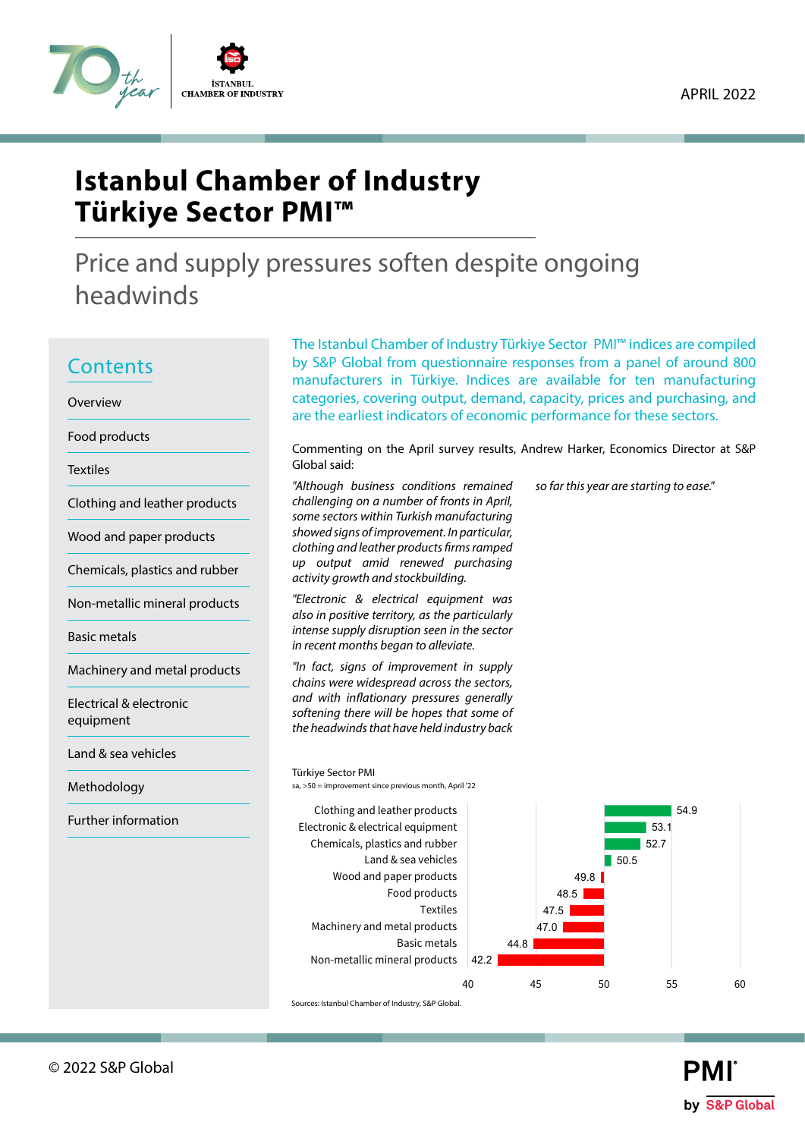

Price and supply pressures soften despite ongoing headwinds

# **Contents**

Overview

Food products

**Textiles** 

Clothing and leather products

Wood and paper products

Chemicals, plastics and rubber

Non-metallic mineral products

Basic metals

Machinery and metal products

Electrical & electronic equipment

Land & sea vehicles

Methodology

Further information

The Istanbul Chamber of Industry Türkiye Sector PMI™ indices are compiled by S&P Global from questionnaire responses from a panel of around 800 manufacturers in Türkiye. Indices are available for ten manufacturing categories, covering output, demand, capacity, prices and purchasing, and are the earliest indicators of economic performance for these sectors.

Commenting on the April survey results, Andrew Harker, Economics Director at S&P Global said:

*so far this year are starting to ease."*

*"Although business conditions remained challenging on a number of fronts in April, some sectors within Turkish manufacturing showed signs of improvement. In particular, clothing and leather products firms ramped up output amid renewed purchasing activity growth and stockbuilding.*

*"Electronic & electrical equipment was also in positive territory, as the particularly intense supply disruption seen in the sector in recent months began to alleviate.* 

*"In fact, signs of improvement in supply chains were widespread across the sectors, and with inflationary pressures generally softening there will be hopes that some of the headwinds that have held industry back* 

Türkiye Sector PMI



sa, >50 = improvement since previous month, April '22

Sources: Istanbul Chamber of Industry, S&P Global.

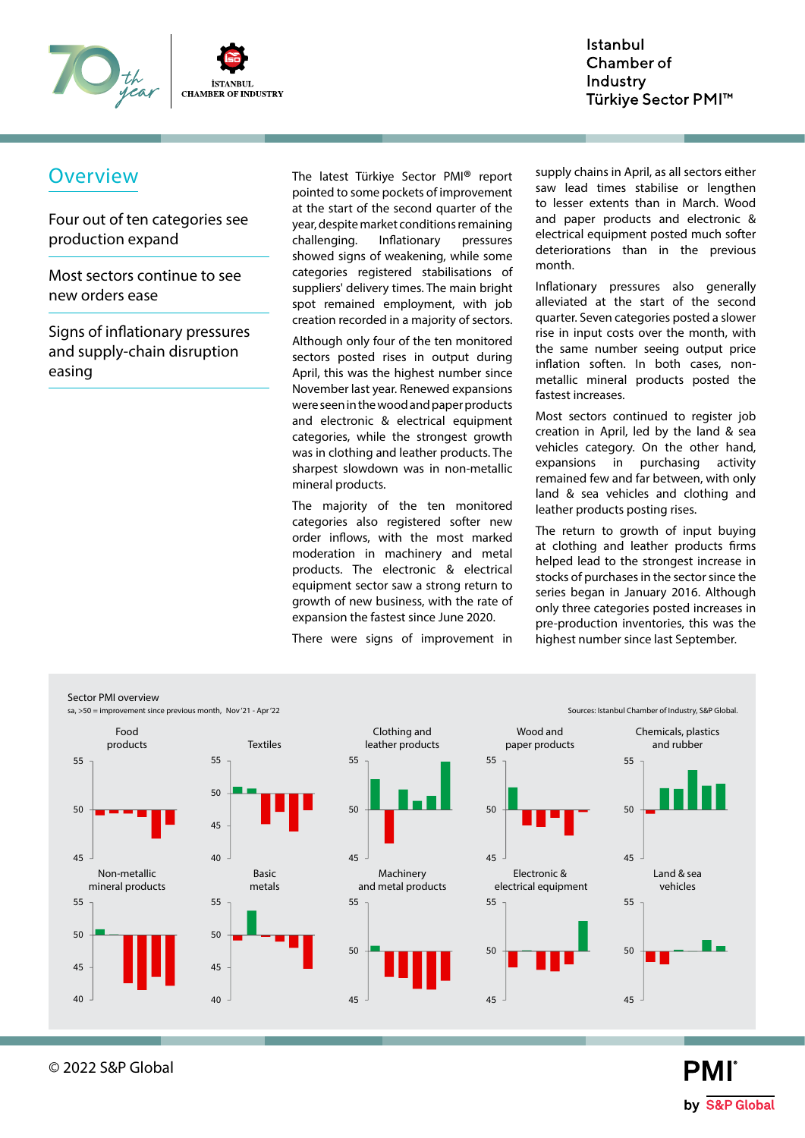

Four out of ten categories see production expand

Most sectors continue to see new orders ease

Signs of inflationary pressures and supply-chain disruption easing

Overview The latest Türkiye Sector PMI® report pointed to some pockets of improvement at the start of the second quarter of the year, despite market conditions remaining challenging. Inflationary pressures showed signs of weakening, while some categories registered stabilisations of suppliers' delivery times. The main bright spot remained employment, with job creation recorded in a majority of sectors.

> Although only four of the ten monitored sectors posted rises in output during April, this was the highest number since November last year. Renewed expansions were seen in the wood and paper products and electronic & electrical equipment categories, while the strongest growth was in clothing and leather products. The sharpest slowdown was in non-metallic mineral products.

> The majority of the ten monitored categories also registered softer new order inflows, with the most marked moderation in machinery and metal products. The electronic & electrical equipment sector saw a strong return to growth of new business, with the rate of expansion the fastest since June 2020.

There were signs of improvement in

supply chains in April, as all sectors either saw lead times stabilise or lengthen to lesser extents than in March. Wood and paper products and electronic & electrical equipment posted much softer deteriorations than in the previous month.

Inflationary pressures also generally alleviated at the start of the second quarter. Seven categories posted a slower rise in input costs over the month, with the same number seeing output price inflation soften. In both cases, nonmetallic mineral products posted the fastest increases.

Most sectors continued to register job creation in April, led by the land & sea vehicles category. On the other hand, expansions in purchasing activity remained few and far between, with only land & sea vehicles and clothing and leather products posting rises.

The return to growth of input buying at clothing and leather products firms helped lead to the strongest increase in stocks of purchases in the sector since the series began in January 2016. Although only three categories posted increases in pre-production inventories, this was the highest number since last September.



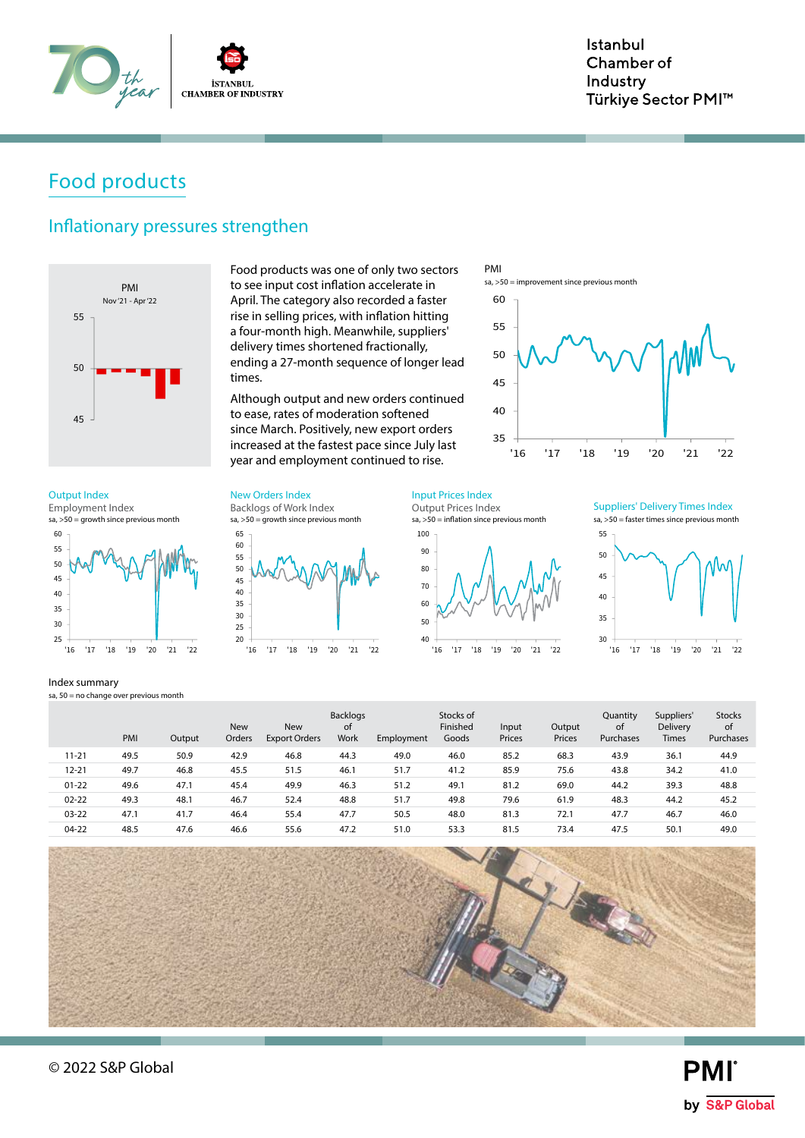

# Food products

### Inflationary pressures strengthen



Food products was one of only two sectors to see input cost inflation accelerate in April. The category also recorded a faster rise in selling prices, with inflation hitting a four-month high. Meanwhile, suppliers' delivery times shortened fractionally, ending a 27-month sequence of longer lead times.

Although output and new orders continued to ease, rates of moderation softened since March. Positively, new export orders increased at the fastest pace since July last year and employment continued to rise.



 $sa, >50 =$  growth since previous month Employment Index



Index summary

sa,  $50 =$  no change over previous month

sa, >50 = growth since previous month Backlogs of Work Index Output Index **New Orders Index** Input Prices Index



Output Prices Index

 $sa, >50 =$  inflation since previous month





|           | PMI  | Output | <b>New</b><br>Orders | <b>New</b><br><b>Export Orders</b> | <b>Backlogs</b><br>οf<br>Work | Employment | Stocks of<br>Finished<br>Goods | Input<br>Prices | Output<br>Prices | Quantity<br>οf<br>Purchases | Suppliers'<br><b>Delivery</b><br><b>Times</b> | <b>Stocks</b><br>of<br>Purchases |
|-----------|------|--------|----------------------|------------------------------------|-------------------------------|------------|--------------------------------|-----------------|------------------|-----------------------------|-----------------------------------------------|----------------------------------|
| $11 - 21$ | 49.5 | 50.9   | 42.9                 | 46.8                               | 44.3                          | 49.0       | 46.0                           | 85.2            | 68.3             | 43.9                        | 36.1                                          | 44.9                             |
| $12 - 21$ | 49.7 | 46.8   | 45.5                 | 51.5                               | 46.1                          | 51.7       | 41.2                           | 85.9            | 75.6             | 43.8                        | 34.2                                          | 41.0                             |
| $01 - 22$ | 49.6 | 47.1   | 45.4                 | 49.9                               | 46.3                          | 51.2       | 49.1                           | 81.2            | 69.0             | 44.2                        | 39.3                                          | 48.8                             |
| $02 - 22$ | 49.3 | 48.1   | 46.7                 | 52.4                               | 48.8                          | 51.7       | 49.8                           | 79.6            | 61.9             | 48.3                        | 44.2                                          | 45.2                             |
| $03 - 22$ | 47.1 | 41.7   | 46.4                 | 55.4                               | 47.7                          | 50.5       | 48.0                           | 81.3            | 72.1             | 47.7                        | 46.7                                          | 46.0                             |
| $04-22$   | 48.5 | 47.6   | 46.6                 | 55.6                               | 47.2                          | 51.0       | 53.3                           | 81.5            | 73.4             | 47.5                        | 50.1                                          | 49.0                             |



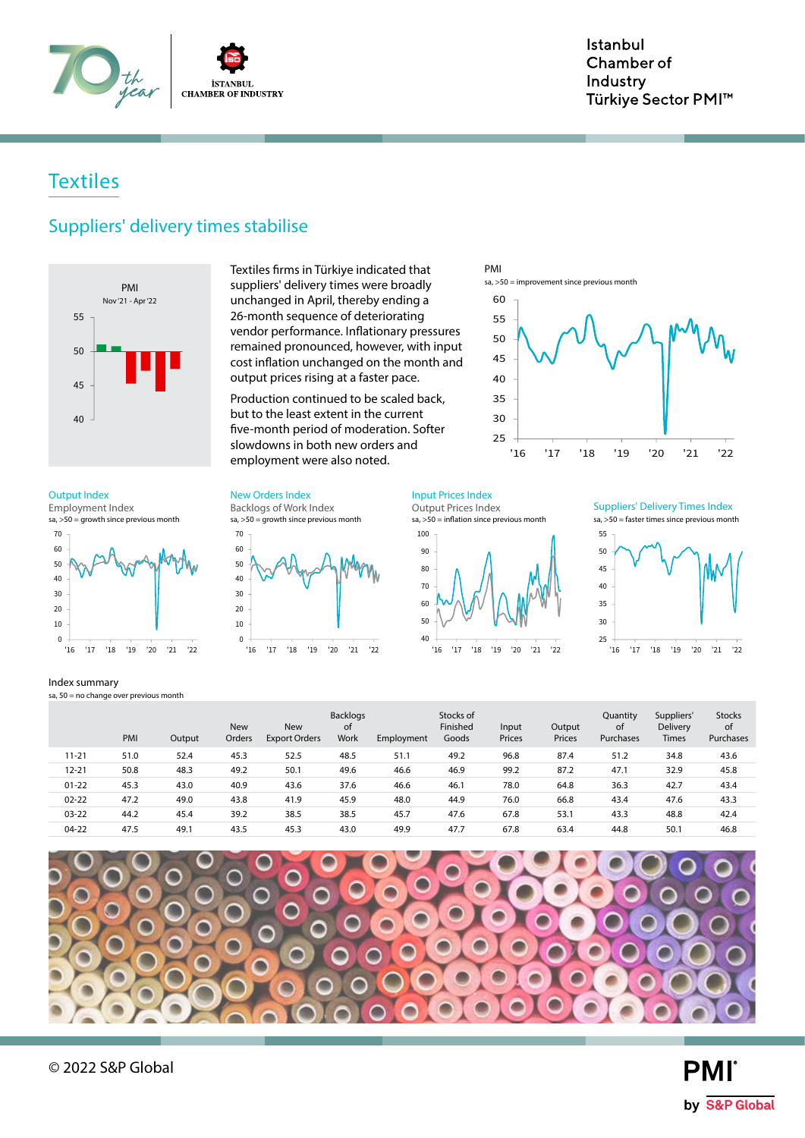

### **Textiles**

### Suppliers' delivery times stabilise



Textiles firms in Türkiye indicated that suppliers' delivery times were broadly unchanged in April, thereby ending a 26-month sequence of deteriorating vendor performance. Inflationary pressures remained pronounced, however, with input cost inflation unchanged on the month and output prices rising at a faster pace.

Production continued to be scaled back, but to the least extent in the current five-month period of moderation. Softer slowdowns in both new orders and employment were also noted.

'16 '17 '18 '19 '20 '21 '22

sa, >50 = growth since previous month

Backlogs of Work Index

Output Index **New Orders Index** Input Prices Index Input Prices Index

 $sa, >50 =$  growth since previous month Employment Index



Index summary

11-21 51.0 52.4 45.3 52.5 48.5 51.1 49.2 96.8 87.4 51.2 34.8 43.6 12-21 50.8 48.3 49.2 50.1 49.6 46.6 46.9 99.2 87.2 47.1 32.9 45.8 01-22 45.3 43.0 40.9 43.6 37.6 46.6 46.1 78.0 64.8 36.3 42.7 43.4 02-22 47.2 49.0 43.8 41.9 45.9 48.0 44.9 76.0 66.8 43.4 47.6 43.3 03-22 44.2 45.4 39.2 38.5 38.5 45.7 47.6 67.8 53.1 43.3 48.8 42.4 04-22 47.5 49.1 43.5 45.3 43.0 49.9 47.7 67.8 63.4 44.8 50.1 46.8 PMI Output New Orders New Export Orders Backlogs of Work Employment Stocks of Finished Goods Input Prices Output Prices Quantity of Purchases Suppliers' Delivery Times Stocks of Purchases sa,  $50 =$  no change over previous month

40 50 60





sa, >50 = improvement since previous month

70 80 90 100  $sa, >50 =$  inflation since previous month

Output Prices Index

PMI

'16 '17 '18 '19 '20 '21 '22

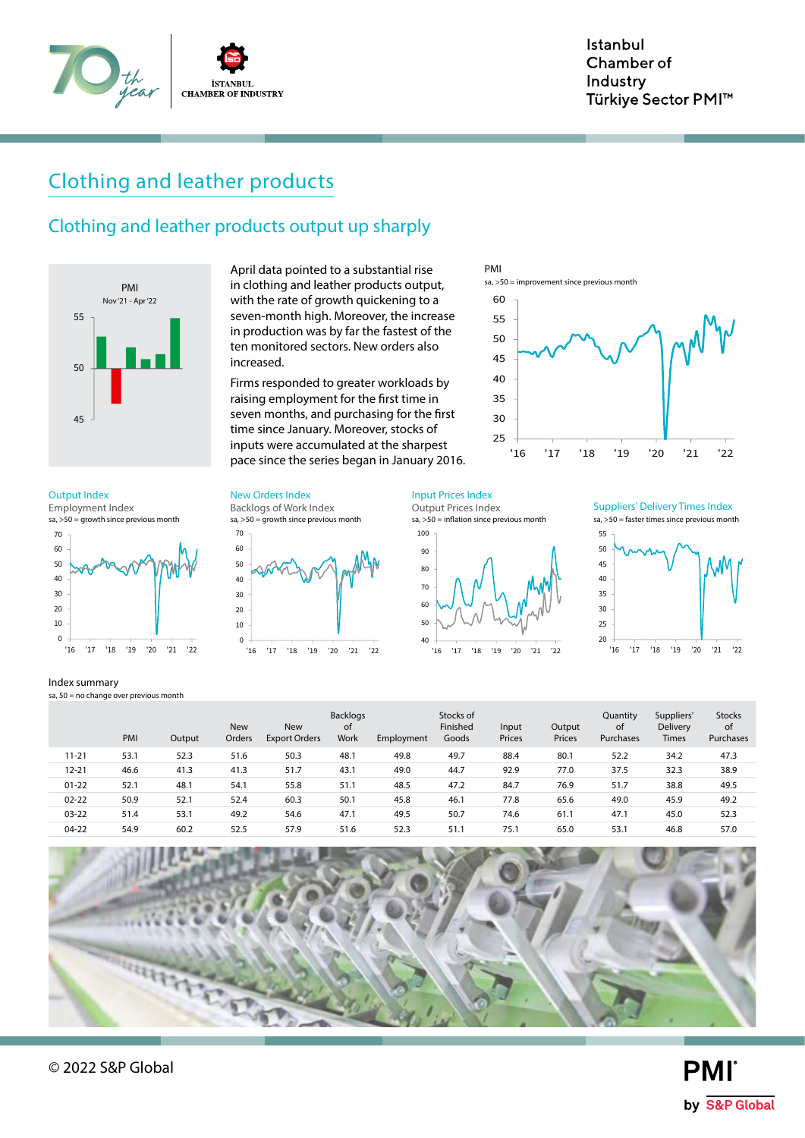

# Clothing and leather products

### Clothing and leather products output up sharply



April data pointed to a substantial rise in clothing and leather products output, with the rate of growth quickening to a seven-month high. Moreover, the increase in production was by far the fastest of the ten monitored sectors. New orders also increased.

Firms responded to greater workloads by raising employment for the first time in seven months, and purchasing for the first time since January. Moreover, stocks of inputs were accumulated at the sharpest pace since the series began in January 2016.



 $sa, >50 =$  growth since previous month Employment Index



#### Index summary

sa,  $50 =$  no change over previous month

Output Index **New Orders Index** Input Prices Index Input Prices Index

sa, >50 = growth since previous month Backlogs of Work Index



 $sa, >50 =$  inflation since previous month Output Prices Index





|           | PMI  | Output | <b>New</b><br>Orders | <b>New</b><br><b>Export Orders</b> | <b>Backlogs</b><br><sub>of</sub><br>Work | Employment | Stocks of<br>Finished<br>Goods | Input<br>Prices | Output<br>Prices | Quantity<br>of<br>Purchases | Suppliers'<br>Delivery<br><b>Times</b> | <b>Stocks</b><br>of<br>Purchases |
|-----------|------|--------|----------------------|------------------------------------|------------------------------------------|------------|--------------------------------|-----------------|------------------|-----------------------------|----------------------------------------|----------------------------------|
| $11 - 21$ | 53.1 | 52.3   | 51.6                 | 50.3                               | 48.1                                     | 49.8       | 49.7                           | 88.4            | 80.1             | 52.2                        | 34.2                                   | 47.3                             |
| $12 - 21$ | 46.6 | 41.3   | 41.3                 | 51.7                               | 43.1                                     | 49.0       | 44.7                           | 92.9            | 77.0             | 37.5                        | 32.3                                   | 38.9                             |
| $01 - 22$ | 52.1 | 48.1   | 54.1                 | 55.8                               | 51.1                                     | 48.5       | 47.2                           | 84.7            | 76.9             | 51.7                        | 38.8                                   | 49.5                             |
| $02 - 22$ | 50.9 | 52.1   | 52.4                 | 60.3                               | 50.1                                     | 45.8       | 46.1                           | 77.8            | 65.6             | 49.0                        | 45.9                                   | 49.2                             |
| $03 - 22$ | 51.4 | 53.1   | 49.2                 | 54.6                               | 47.1                                     | 49.5       | 50.7                           | 74.6            | 61.1             | 47.1                        | 45.0                                   | 52.3                             |
| $04-22$   | 54.9 | 60.2   | 52.5                 | 57.9                               | 51.6                                     | 52.3       | 51.1                           | 75.1            | 65.0             | 53.1                        | 46.8                                   | 57.0                             |

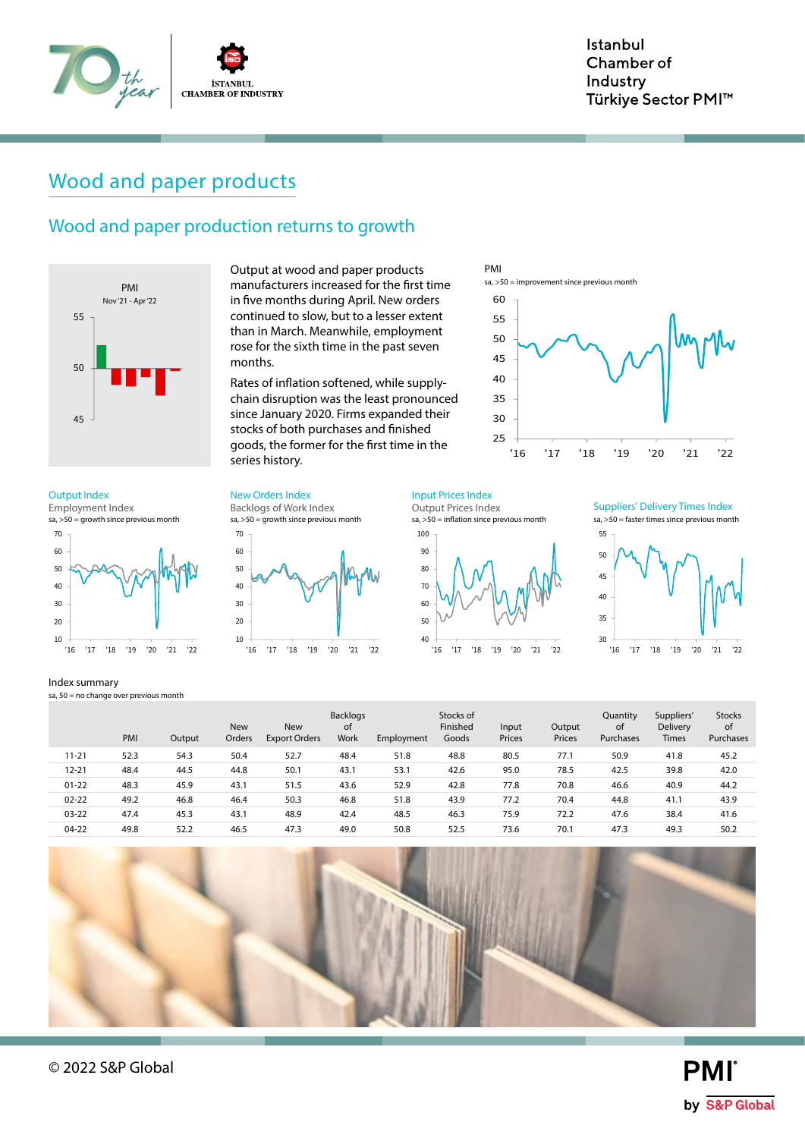

# Wood and paper products

### Wood and paper production returns to growth



manufacturers increased for the first time in five months during April. New orders continued to slow, but to a lesser extent than in March. Meanwhile, employment rose for the sixth time in the past seven months.

Output at wood and paper products

Rates of inflation softened, while supplychain disruption was the least pronounced since January 2020. Firms expanded their stocks of both purchases and finished goods, the former for the first time in the series history.

#### Output Index **New Orders Index** Input Prices Index Input Prices Index

 $sa, >50 =$  growth since previous month Employment Index



#### Index summary

sa,  $50 =$  no change over previous month

40 50 60 70 sa, >50 = growth since previous month Backlogs of Work Index



Output Prices Index

 $sa, >50 =$  inflation since previous month



PMI

 $sa. > 50$  = improvement since previous month

sa, >50 = faster times since previous month Suppliers' Delivery Times Index



|           | PMI  | Output | <b>New</b><br>Orders | <b>New</b><br><b>Export Orders</b> | Backlogs<br>0f<br><b>Work</b> | Employment | Stocks of<br>Finished<br>Goods | Input<br>Prices | Output<br>Prices | Quantity<br>of<br>Purchases | Suppliers'<br>Delivery<br><b>Times</b> | <b>Stocks</b><br>of<br>Purchases |
|-----------|------|--------|----------------------|------------------------------------|-------------------------------|------------|--------------------------------|-----------------|------------------|-----------------------------|----------------------------------------|----------------------------------|
| $11 - 21$ | 52.3 | 54.3   | 50.4                 | 52.7                               | 48.4                          | 51.8       | 48.8                           | 80.5            | 77.1             | 50.9                        | 41.8                                   | 45.2                             |
| $12 - 21$ | 48.4 | 44.5   | 44.8                 | 50.1                               | 43.1                          | 53.1       | 42.6                           | 95.0            | 78.5             | 42.5                        | 39.8                                   | 42.0                             |
| $01 - 22$ | 48.3 | 45.9   | 43.1                 | 51.5                               | 43.6                          | 52.9       | 42.8                           | 77.8            | 70.8             | 46.6                        | 40.9                                   | 44.2                             |
| $02 - 22$ | 49.2 | 46.8   | 46.4                 | 50.3                               | 46.8                          | 51.8       | 43.9                           | 77.2            | 70.4             | 44.8                        | 41.1                                   | 43.9                             |
| $03 - 22$ | 47.4 | 45.3   | 43.1                 | 48.9                               | 42.4                          | 48.5       | 46.3                           | 75.9            | 72.2             | 47.6                        | 38.4                                   | 41.6                             |
| $04-22$   | 49.8 | 52.2   | 46.5                 | 47.3                               | 49.0                          | 50.8       | 52.5                           | 73.6            | 70.1             | 47.3                        | 49.3                                   | 50.2                             |

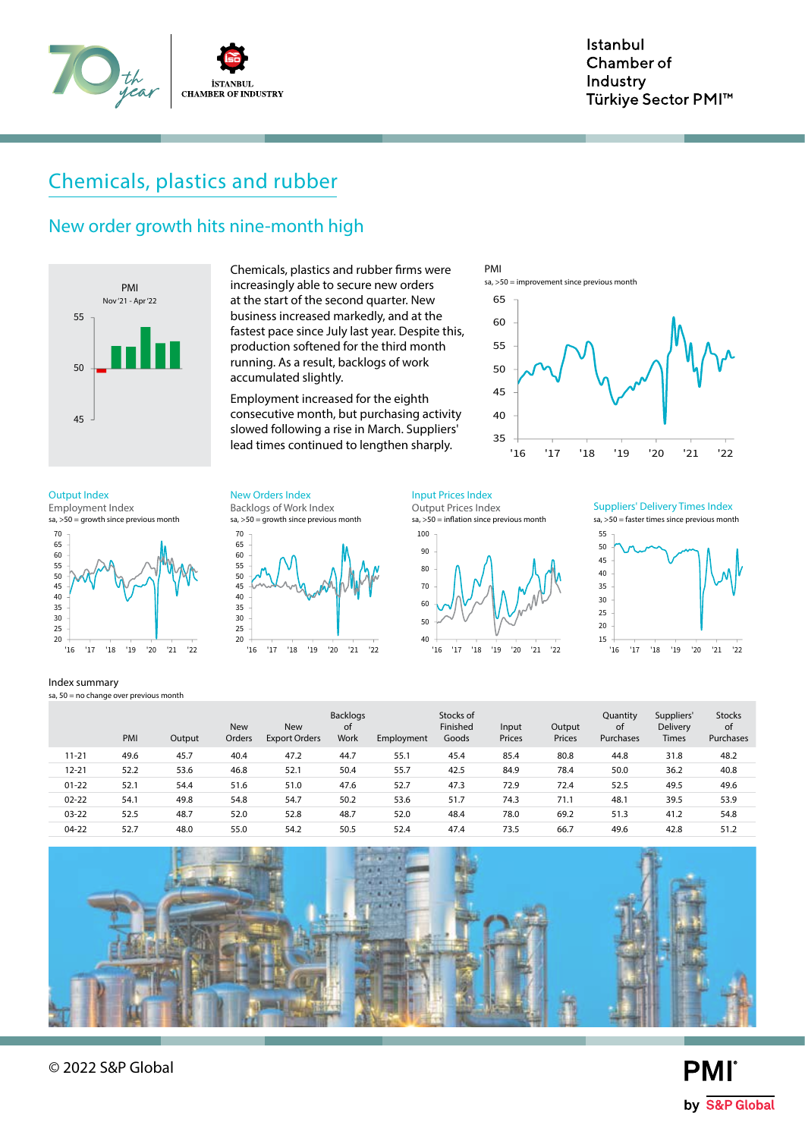

# Chemicals, plastics and rubber

### New order growth hits nine-month high



Chemicals, plastics and rubber firms were increasingly able to secure new orders at the start of the second quarter. New business increased markedly, and at the fastest pace since July last year. Despite this, production softened for the third month running. As a result, backlogs of work accumulated slightly.

Employment increased for the eighth consecutive month, but purchasing activity slowed following a rise in March. Suppliers' lead times continued to lengthen sharply.



 $sa, >50 =$  growth since previous month Employment Index



#### Index summary

sa,  $50 =$  no change over previous month

65 70 sa, >50 = growth since previous month Backlogs of Work Index Output Index **New Orders Index** Input Prices Index



 $sa, >50 =$  inflation since previous month Output Prices Index





|           | PMI  | Output | <b>New</b><br>Orders | <b>New</b><br><b>Export Orders</b> | <b>Backlogs</b><br>οf<br><b>Work</b> | Employment | Stocks of<br>Finished<br>Goods | Input<br>Prices | Output<br>Prices | Quantity<br>οf<br>Purchases | Suppliers'<br><b>Delivery</b><br><b>Times</b> | <b>Stocks</b><br>of<br>Purchases |
|-----------|------|--------|----------------------|------------------------------------|--------------------------------------|------------|--------------------------------|-----------------|------------------|-----------------------------|-----------------------------------------------|----------------------------------|
| $11 - 21$ | 49.6 | 45.7   | 40.4                 | 47.2                               | 44.7                                 | 55.1       | 45.4                           | 85.4            | 80.8             | 44.8                        | 31.8                                          | 48.2                             |
| $12 - 21$ | 52.2 | 53.6   | 46.8                 | 52.1                               | 50.4                                 | 55.7       | 42.5                           | 84.9            | 78.4             | 50.0                        | 36.2                                          | 40.8                             |
| $01 - 22$ | 52.1 | 54.4   | 51.6                 | 51.0                               | 47.6                                 | 52.7       | 47.3                           | 72.9            | 72.4             | 52.5                        | 49.5                                          | 49.6                             |
| $02 - 22$ | 54.1 | 49.8   | 54.8                 | 54.7                               | 50.2                                 | 53.6       | 51.7                           | 74.3            | 71.1             | 48.1                        | 39.5                                          | 53.9                             |
| $03 - 22$ | 52.5 | 48.7   | 52.0                 | 52.8                               | 48.7                                 | 52.0       | 48.4                           | 78.0            | 69.2             | 51.3                        | 41.2                                          | 54.8                             |
| $04-22$   | 52.7 | 48.0   | 55.0                 | 54.2                               | 50.5                                 | 52.4       | 47.4                           | 73.5            | 66.7             | 49.6                        | 42.8                                          | 51.2                             |



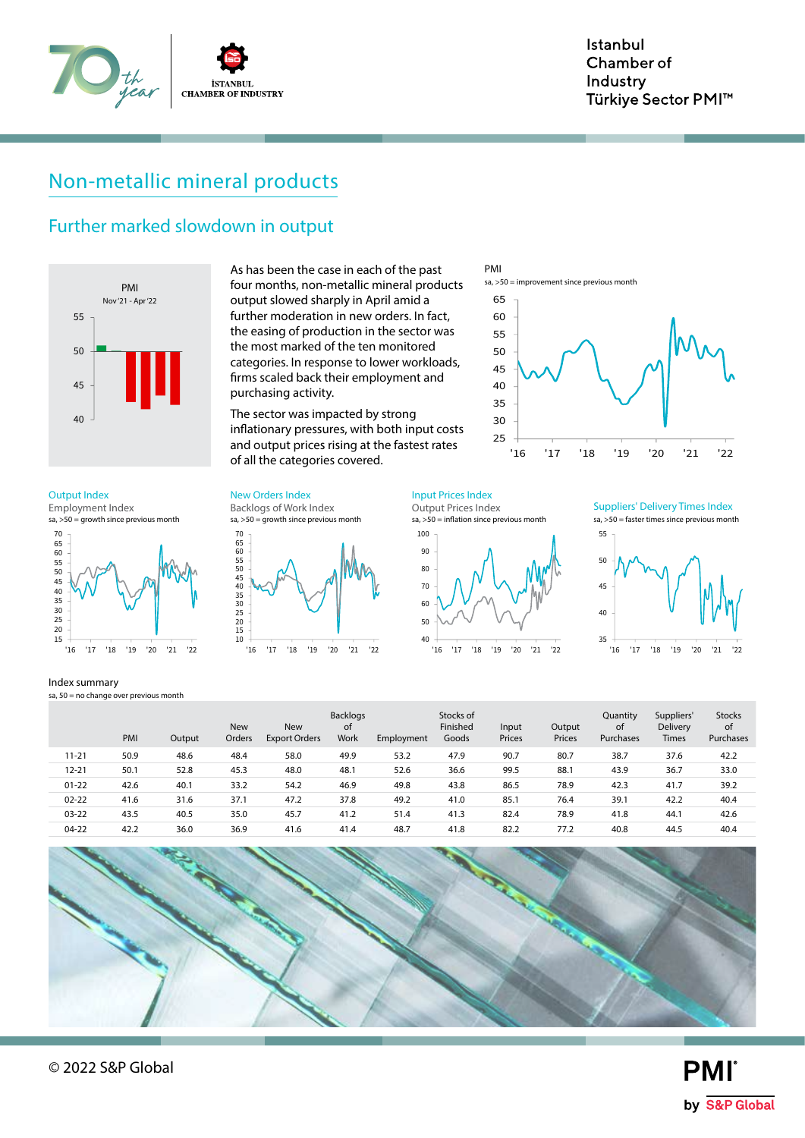

# Non-metallic mineral products

### Further marked slowdown in output



As has been the case in each of the past four months, non-metallic mineral products output slowed sharply in April amid a further moderation in new orders. In fact, the easing of production in the sector was the most marked of the ten monitored categories. In response to lower workloads, firms scaled back their employment and purchasing activity.

The sector was impacted by strong inflationary pressures, with both input costs and output prices rising at the fastest rates of all the categories covered.

Output Index **New Orders Index** Input Prices Index

 $sa, >50 =$  growth since previous month Employment Index



Index summary

sa,  $50 =$  no change over previous month

70<br>65<br>60<br>55<br>50<br>40<br>35<br>30<br>25<br>20<br>15<br>10 sa, >50 = growth since previous month Backlogs of Work Index



Output Prices Index



PMI

 $sa. > 50$  = improvement since previous month

sa, >50 = faster times since previous month Suppliers' Delivery Times Index



|           | PMI  | Output | <b>New</b><br>Orders | <b>New</b><br><b>Export Orders</b> | <b>Backlogs</b><br>0f<br>Work | Employment | Stocks of<br>Finished<br>Goods | Input<br>Prices | Output<br>Prices | Quantity<br><sub>of</sub><br>Purchases | Suppliers'<br><b>Delivery</b><br><b>Times</b> | <b>Stocks</b><br>of<br><b>Purchases</b> |
|-----------|------|--------|----------------------|------------------------------------|-------------------------------|------------|--------------------------------|-----------------|------------------|----------------------------------------|-----------------------------------------------|-----------------------------------------|
| $11 - 21$ | 50.9 | 48.6   | 48.4                 | 58.0                               | 49.9                          | 53.2       | 47.9                           | 90.7            | 80.7             | 38.7                                   | 37.6                                          | 42.2                                    |
| $12 - 21$ | 50.1 | 52.8   | 45.3                 | 48.0                               | 48.1                          | 52.6       | 36.6                           | 99.5            | 88.1             | 43.9                                   | 36.7                                          | 33.0                                    |
| $01 - 22$ | 42.6 | 40.1   | 33.2                 | 54.2                               | 46.9                          | 49.8       | 43.8                           | 86.5            | 78.9             | 42.3                                   | 41.7                                          | 39.2                                    |
| $02 - 22$ | 41.6 | 31.6   | 37.1                 | 47.2                               | 37.8                          | 49.2       | 41.0                           | 85.7            | 76.4             | 39.1                                   | 42.2                                          | 40.4                                    |
| $03 - 22$ | 43.5 | 40.5   | 35.0                 | 45.7                               | 41.2                          | 51.4       | 41.3                           | 82.4            | 78.9             | 41.8                                   | 44.1                                          | 42.6                                    |
| $04 - 22$ | 42.2 | 36.0   | 36.9                 | 41.6                               | 41.4                          | 48.7       | 41.8                           | 82.2            | 77.2             | 40.8                                   | 44.5                                          | 40.4                                    |



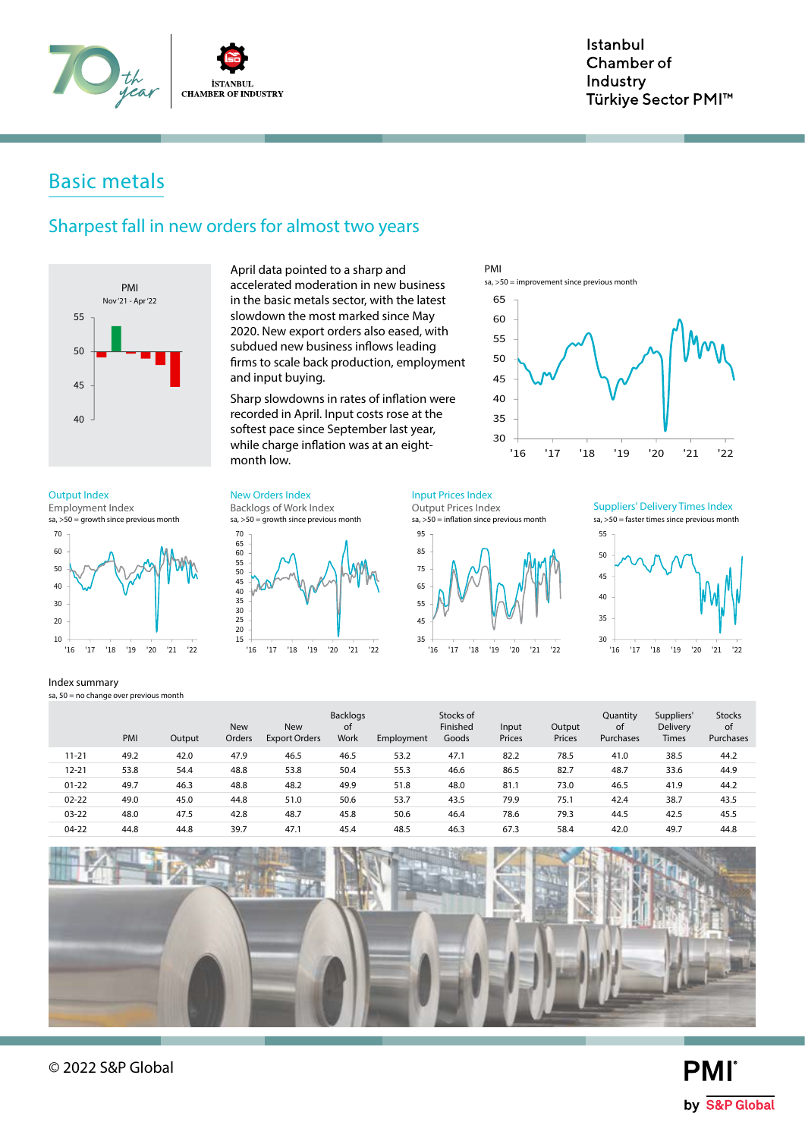

# Basic metals

### Sharpest fall in new orders for almost two years



slowdown the most marked since May 2020. New export orders also eased, with subdued new business inflows leading firms to scale back production, employment and input buying. Sharp slowdowns in rates of inflation were

April data pointed to a sharp and accelerated moderation in new business in the basic metals sector, with the latest

recorded in April. Input costs rose at the softest pace since September last year, while charge inflation was at an eightmonth low.

#### Output Index **New Orders Index** Input Prices Index

 $sa, >50 =$  growth since previous month Employment Index



#### Index summary

sa,  $50 =$  no change over previous month

65 70 sa, >50 = growth since previous month Backlogs of Work Index



Output Prices Index





PMI

 $sa. > 50$  = improvement since previous month

sa, >50 = faster times since previous month Suppliers' Delivery Times Index



|           | PMI  | Output | <b>New</b><br>Orders | <b>New</b><br><b>Export Orders</b> | <b>Backlogs</b><br><sub>of</sub><br>Work | Employment | Stocks of<br>Finished<br>Goods | Input<br>Prices | Output<br>Prices | Quantity<br>of<br>Purchases | Suppliers'<br>Delivery<br><b>Times</b> | <b>Stocks</b><br>of<br>Purchases |
|-----------|------|--------|----------------------|------------------------------------|------------------------------------------|------------|--------------------------------|-----------------|------------------|-----------------------------|----------------------------------------|----------------------------------|
| $11 - 21$ | 49.2 | 42.0   | 47.9                 | 46.5                               | 46.5                                     | 53.2       | 47.1                           | 82.2            | 78.5             | 41.0                        | 38.5                                   | 44.2                             |
| $12 - 21$ | 53.8 | 54.4   | 48.8                 | 53.8                               | 50.4                                     | 55.3       | 46.6                           | 86.5            | 82.7             | 48.7                        | 33.6                                   | 44.9                             |
| $01 - 22$ | 49.7 | 46.3   | 48.8                 | 48.2                               | 49.9                                     | 51.8       | 48.0                           | 81.1            | 73.0             | 46.5                        | 41.9                                   | 44.2                             |
| $02 - 22$ | 49.0 | 45.0   | 44.8                 | 51.0                               | 50.6                                     | 53.7       | 43.5                           | 79.9            | 75.1             | 42.4                        | 38.7                                   | 43.5                             |
| $03 - 22$ | 48.0 | 47.5   | 42.8                 | 48.7                               | 45.8                                     | 50.6       | 46.4                           | 78.6            | 79.3             | 44.5                        | 42.5                                   | 45.5                             |
| $04 - 22$ | 44.8 | 44.8   | 39.7                 | 47.7                               | 45.4                                     | 48.5       | 46.3                           | 67.3            | 58.4             | 42.0                        | 49.7                                   | 44.8                             |

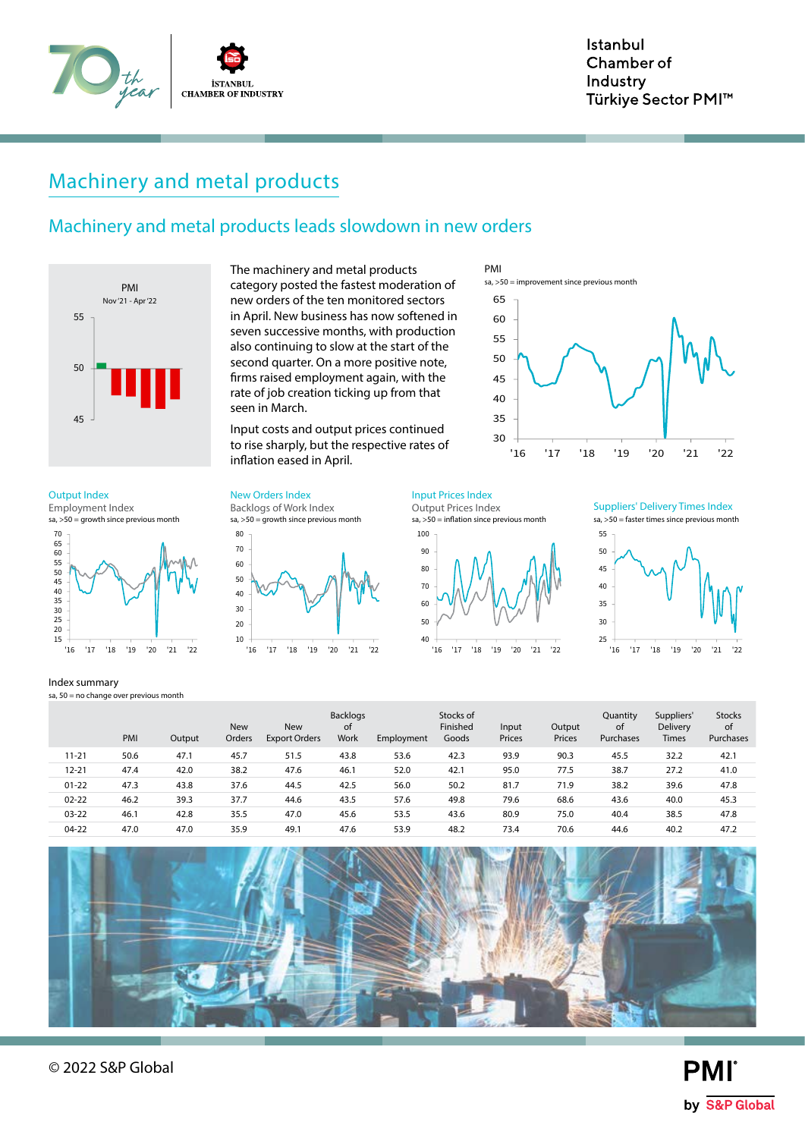

# Machinery and metal products

### Machinery and metal products leads slowdown in new orders



 $sa, >50 =$  growth since previous month Employment Index



Index summary

sa,  $50 =$  no change over previous month

The machinery and metal products category posted the fastest moderation of new orders of the ten monitored sectors in April. New business has now softened in seven successive months, with production also continuing to slow at the start of the second quarter. On a more positive note, firms raised employment again, with the rate of job creation ticking up from that seen in March.

Input costs and output prices continued to rise sharply, but the respective rates of inflation eased in April.

### Output Index **New Orders Index** Input Prices Index Input Prices Index

sa, >50 = growth since previous month Backlogs of Work Index



Output Prices Index

sa, >50 = inflation since previous month



PMI

 $sa. > 50$  = improvement since previous month

sa, >50 = faster times since previous month Suppliers' Delivery Times Index



11-21 50.6 47.1 45.7 51.5 43.8 53.6 42.3 93.9 90.3 45.5 32.2 42.1 12-21 47.4 42.0 38.2 47.6 46.1 52.0 42.1 95.0 77.5 38.7 27.2 41.0 01-22 47.3 43.8 37.6 44.5 42.5 56.0 50.2 81.7 71.9 38.2 39.6 47.8 02-22 46.2 39.3 37.7 44.6 43.5 57.6 49.8 79.6 68.6 43.6 40.0 45.3 03-22 46.1 42.8 35.5 47.0 45.6 53.5 43.6 80.9 75.0 40.4 38.5 47.8 04-22 47.0 47.0 35.9 49.1 47.6 53.9 48.2 73.4 70.6 44.6 40.2 47.2 PMI Output New Orders New Export Orders Backlogs of Work Employment Stocks of Finished Goods Input Prices Output Prices Quantity of Purchases Suppliers' Delivery Times Stocks of Purchases



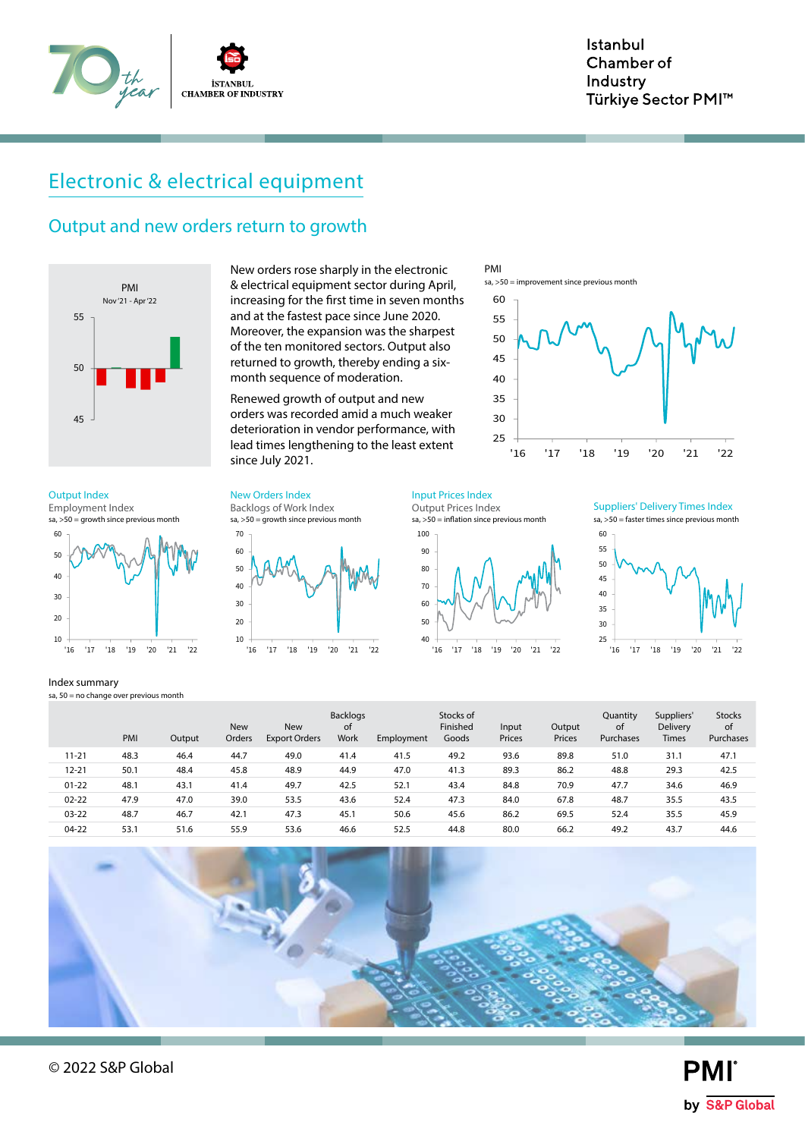

# Electronic & electrical equipment

### Output and new orders return to growth



 $sa, >50 =$  growth since previous month Employment Index



Index summary

sa,  $50 =$  no change over previous month

New orders rose sharply in the electronic & electrical equipment sector during April, increasing for the first time in seven months and at the fastest pace since June 2020. Moreover, the expansion was the sharpest of the ten monitored sectors. Output also returned to growth, thereby ending a sixmonth sequence of moderation.

Renewed growth of output and new orders was recorded amid a much weaker deterioration in vendor performance, with lead times lengthening to the least extent since July 2021.

Backlogs of Work Index Output Index **New Orders Index** Input Prices Index Input Prices Index





Output Prices Index



PMI

sa, >50 = improvement since previous month



sa, >50 = faster times since previous month Suppliers' Delivery Times Index



11-21 48.3 46.4 44.7 49.0 41.4 41.5 49.2 93.6 89.8 51.0 31.1 47.1 12-21 50.1 48.4 45.8 48.9 44.9 47.0 41.3 89.3 86.2 48.8 29.3 42.5 01-22 48.1 43.1 41.4 49.7 42.5 52.1 43.4 84.8 70.9 47.7 34.6 46.9 02-22 47.9 47.0 39.0 53.5 43.6 52.4 47.3 84.0 67.8 48.7 35.5 43.5 03-22 48.7 46.7 42.1 47.3 45.1 50.6 45.6 86.2 69.5 52.4 35.5 45.9 04-22 53.1 51.6 55.9 53.6 46.6 52.5 44.8 80.0 66.2 49.2 43.7 44.6 PMI Output New Orders New Export Orders Backlogs of Work Employment Stocks of Finished Goods Input Prices Output Prices Quantity of Purchases Suppliers' Delivery Times Stocks of Purchases



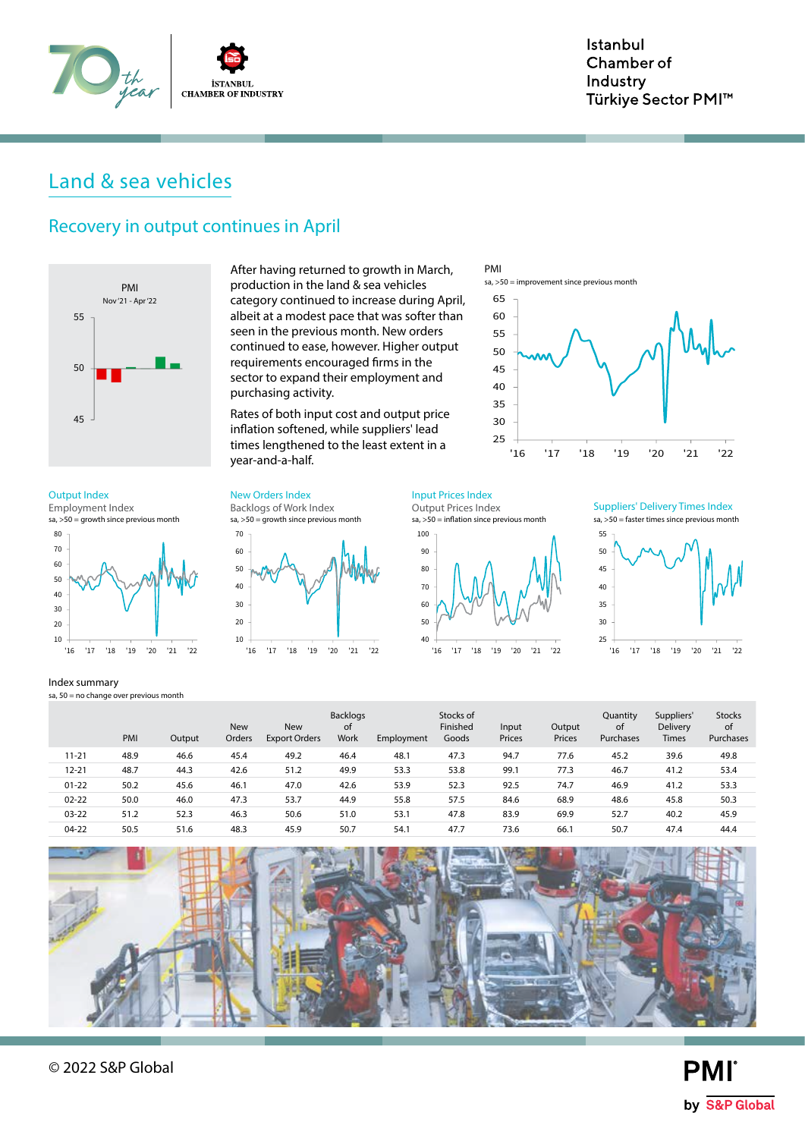

# Land & sea vehicles

### Recovery in output continues in April



 $sa, >50 =$  growth since previous month Employment Index



#### Index summary

sa,  $50 =$  no change over previous month

After having returned to growth in March, production in the land & sea vehicles category continued to increase during April, albeit at a modest pace that was softer than seen in the previous month. New orders continued to ease, however. Higher output requirements encouraged firms in the sector to expand their employment and purchasing activity.

Rates of both input cost and output price inflation softened, while suppliers' lead times lengthened to the least extent in a year-and-a-half.

Output Index **New Orders Index** Input Prices Index

sa,  $>50 =$  growth since previous month Backlogs of Work Index



Output Prices Index



PMI

 $sa. > 50$  = improvement since previous month

sa, >50 = faster times since previous month Suppliers' Delivery Times Index



|           | PMI  | Output | <b>New</b><br>Orders | <b>New</b><br><b>Export Orders</b> | <b>Backlogs</b><br><sub>of</sub><br>Work | Employment | Stocks of<br>Finished<br>Goods | Input<br>Prices | Output<br>Prices | Quantity<br>of<br>Purchases | Suppliers'<br><b>Delivery</b><br><b>Times</b> | <b>Stocks</b><br>0f<br>Purchases |
|-----------|------|--------|----------------------|------------------------------------|------------------------------------------|------------|--------------------------------|-----------------|------------------|-----------------------------|-----------------------------------------------|----------------------------------|
| $11 - 21$ | 48.9 | 46.6   | 45.4                 | 49.2                               | 46.4                                     | 48.1       | 47.3                           | 94.7            | 77.6             | 45.2                        | 39.6                                          | 49.8                             |
| $12 - 21$ | 48.7 | 44.3   | 42.6                 | 51.2                               | 49.9                                     | 53.3       | 53.8                           | 99.1            | 77.3             | 46.7                        | 41.2                                          | 53.4                             |
| $01 - 22$ | 50.2 | 45.6   | 46.1                 | 47.0                               | 42.6                                     | 53.9       | 52.3                           | 92.5            | 74.7             | 46.9                        | 41.2                                          | 53.3                             |
| $02 - 22$ | 50.0 | 46.0   | 47.3                 | 53.7                               | 44.9                                     | 55.8       | 57.5                           | 84.6            | 68.9             | 48.6                        | 45.8                                          | 50.3                             |
| $03 - 22$ | 51.2 | 52.3   | 46.3                 | 50.6                               | 51.0                                     | 53.1       | 47.8                           | 83.9            | 69.9             | 52.7                        | 40.2                                          | 45.9                             |
| $04-22$   | 50.5 | 51.6   | 48.3                 | 45.9                               | 50.7                                     | 54.1       | 47.7                           | 73.6            | 66.1             | 50.7                        | 47.4                                          | 44.4                             |

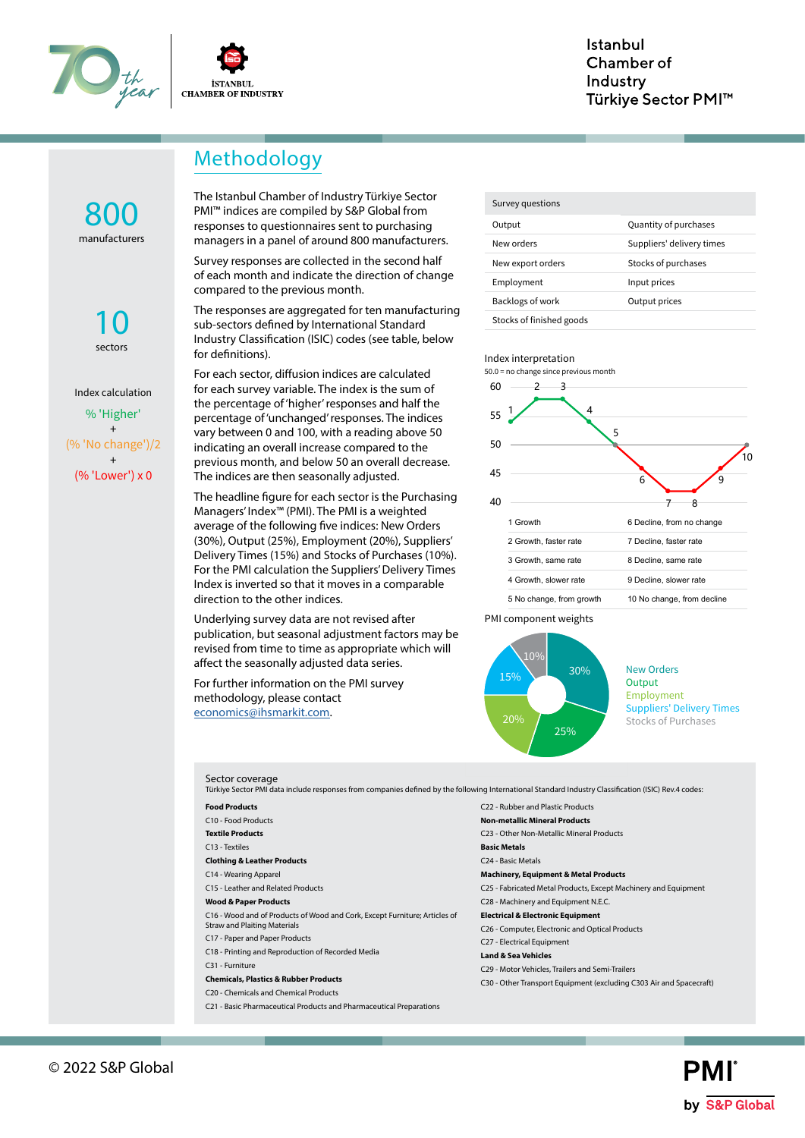



# Methodology

manufacturers 800

> sectors 10

% 'Higher' + (% 'No change')/2 + (% 'Lower') x 0 Index calculation

The Istanbul Chamber of Industry Türkiye Sector PMI™ indices are compiled by S&P Global from responses to questionnaires sent to purchasing managers in a panel of around 800 manufacturers.

Survey responses are collected in the second half of each month and indicate the direction of change compared to the previous month.

The responses are aggregated for ten manufacturing sub-sectors defined by International Standard Industry Classification (ISIC) codes (see table, below for definitions).

For each sector, diffusion indices are calculated for each survey variable. The index is the sum of the percentage of 'higher' responses and half the percentage of 'unchanged' responses. The indices vary between 0 and 100, with a reading above 50 indicating an overall increase compared to the previous month, and below 50 an overall decrease. The indices are then seasonally adjusted.

The headline figure for each sector is the Purchasing Managers' Index™ (PMI). The PMI is a weighted average of the following five indices: New Orders (30%), Output (25%), Employment (20%), Suppliers' Delivery Times (15%) and Stocks of Purchases (10%). For the PMI calculation the Suppliers' Delivery Times Index is inverted so that it moves in a comparable direction to the other indices.

Underlying survey data are not revised after publication, but seasonal adjustment factors may be revised from time to time as appropriate which will affect the seasonally adjusted data series.

C21 - Basic Pharmaceutical Products and Pharmaceutical Preparations

For further information on the PMI survey methodology, please contact economics@ihsmarkit.com.

Output **Quantity of purchases** New orders Suppliers' delivery times New export orders Stocks of purchases Employment Input prices Backlogs of work **Output prices** Stocks of finished goods Survey questions

#### Index interpretation









New Orders **Output** Employment Suppliers' Delivery Times Stocks of Purchases

| Sector coverage<br>Türkiye Sector PMI data include responses from companies defined by the following International Standard Industry Classification (ISIC) Rev.4 codes: |                                                                     |
|-------------------------------------------------------------------------------------------------------------------------------------------------------------------------|---------------------------------------------------------------------|
| <b>Food Products</b>                                                                                                                                                    | C22 - Rubber and Plastic Products                                   |
| C10 - Food Products                                                                                                                                                     | <b>Non-metallic Mineral Products</b>                                |
| <b>Textile Products</b>                                                                                                                                                 | C23 - Other Non-Metallic Mineral Products                           |
| C13 - Textiles                                                                                                                                                          | <b>Basic Metals</b>                                                 |
| <b>Clothing &amp; Leather Products</b>                                                                                                                                  | C <sub>24</sub> - Basic Metals                                      |
| C14 - Wearing Apparel                                                                                                                                                   | <b>Machinery, Equipment &amp; Metal Products</b>                    |
| C15 - Leather and Related Products                                                                                                                                      | C25 - Fabricated Metal Products, Except Machinery and Equipment     |
| <b>Wood &amp; Paper Products</b>                                                                                                                                        | C28 - Machinery and Equipment N.E.C.                                |
| C16 - Wood and of Products of Wood and Cork, Except Furniture; Articles of                                                                                              | <b>Electrical &amp; Electronic Equipment</b>                        |
| <b>Straw and Plaiting Materials</b>                                                                                                                                     | C26 - Computer, Electronic and Optical Products                     |
| C17 - Paper and Paper Products                                                                                                                                          | C27 - Electrical Equipment                                          |
| C18 - Printing and Reproduction of Recorded Media                                                                                                                       | <b>Land &amp; Sea Vehicles</b>                                      |
| C31 - Furniture                                                                                                                                                         | C29 - Motor Vehicles, Trailers and Semi-Trailers                    |
| <b>Chemicals, Plastics &amp; Rubber Products</b>                                                                                                                        | C30 - Other Transport Equipment (excluding C303 Air and Spacecraft) |
| C20 - Chemicals and Chemical Products                                                                                                                                   |                                                                     |